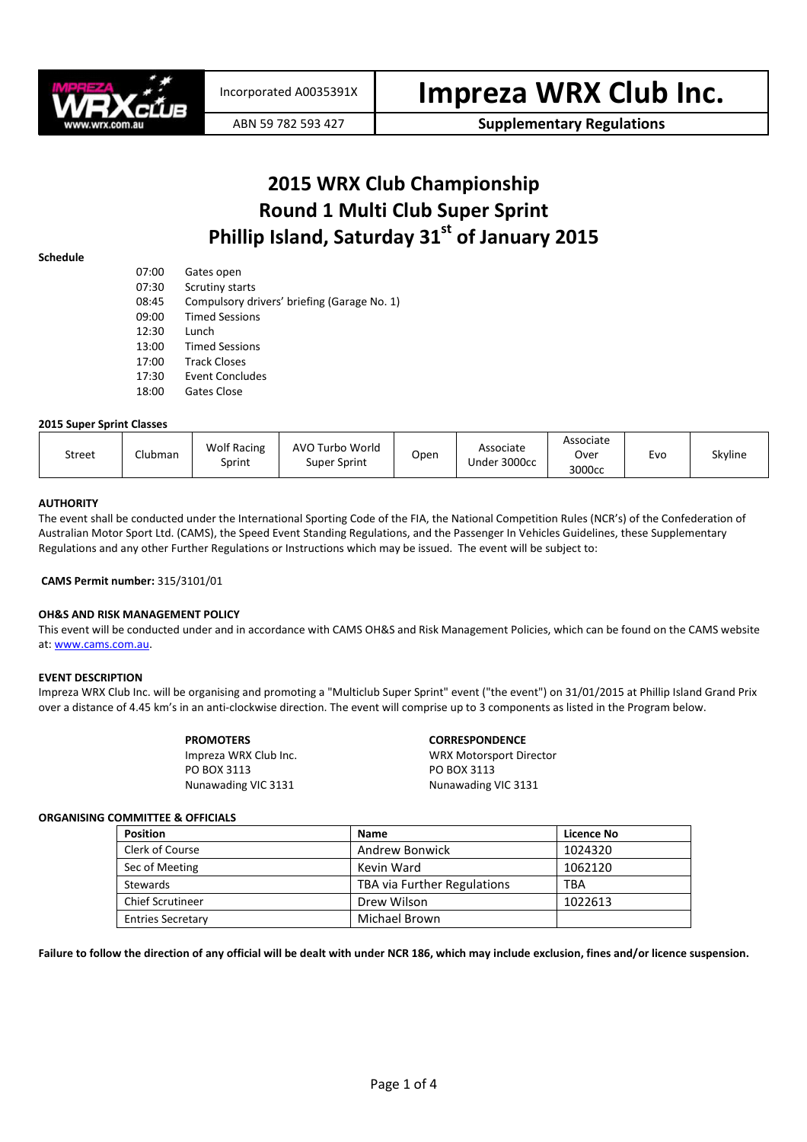

ABN 59 782 593 427 **Supplementary Regulations** 

# 2015 WRX Club Championship Round 1 Multi Club Super Sprint Phillip Island, Saturday 31<sup>st</sup> of January 2015

#### Schedule

| 07:00 | Gates open                                  |
|-------|---------------------------------------------|
| 07:30 | Scrutiny starts                             |
| 08:45 | Compulsory drivers' briefing (Garage No. 1) |
| 09:00 | <b>Timed Sessions</b>                       |
| 12:30 | Lunch                                       |
| 13:00 | <b>Timed Sessions</b>                       |
| 17:00 | <b>Track Closes</b>                         |
| 17:30 | Event Concludes                             |
| 18:00 | Gates Close                                 |

### 2015 Super Sprint Classes

| <b>Wolf Racing</b><br>AVO Turbo World<br>Clubman<br><b>Street</b><br>Super Sprint<br>Sprint | Associate<br>Open<br>Under 3000cc | Associate<br>Over<br>Evo<br>3000cc | Skyline |
|---------------------------------------------------------------------------------------------|-----------------------------------|------------------------------------|---------|
|---------------------------------------------------------------------------------------------|-----------------------------------|------------------------------------|---------|

# **AUTHORITY**

The event shall be conducted under the International Sporting Code of the FIA, the National Competition Rules (NCR's) of the Confederation of Australian Motor Sport Ltd. (CAMS), the Speed Event Standing Regulations, and the Passenger In Vehicles Guidelines, these Supplementary Regulations and any other Further Regulations or Instructions which may be issued. The event will be subject to:

#### CAMS Permit number: 315/3101/01

# OH&S AND RISK MANAGEMENT POLICY

This event will be conducted under and in accordance with CAMS OH&S and Risk Management Policies, which can be found on the CAMS website at: www.cams.com.au.

#### EVENT DESCRIPTION

Impreza WRX Club Inc. will be organising and promoting a "Multiclub Super Sprint" event ("the event") on 31/01/2015 at Phillip Island Grand Prix over a distance of 4.45 km's in an anti-clockwise direction. The event will comprise up to 3 components as listed in the Program below.

| <b>PROMOTERS</b>      | <b>CORRESPONDENCE</b>          |  |  |
|-----------------------|--------------------------------|--|--|
| Impreza WRX Club Inc. | <b>WRX Motorsport Director</b> |  |  |
| PO BOX 3113           | PO BOX 3113                    |  |  |
| Nunawading VIC 3131   | Nunawading VIC 3131            |  |  |

#### ORGANISING COMMITTEE & OFFICIALS

| <b>Position</b>          | <b>Name</b>                 | Licence No |
|--------------------------|-----------------------------|------------|
| Clerk of Course          | <b>Andrew Bonwick</b>       | 1024320    |
| Sec of Meeting           | Kevin Ward                  | 1062120    |
| Stewards                 | TBA via Further Regulations | TBA        |
| <b>Chief Scrutineer</b>  | Drew Wilson                 | 1022613    |
| <b>Entries Secretary</b> | Michael Brown               |            |

Failure to follow the direction of any official will be dealt with under NCR 186, which may include exclusion, fines and/or licence suspension.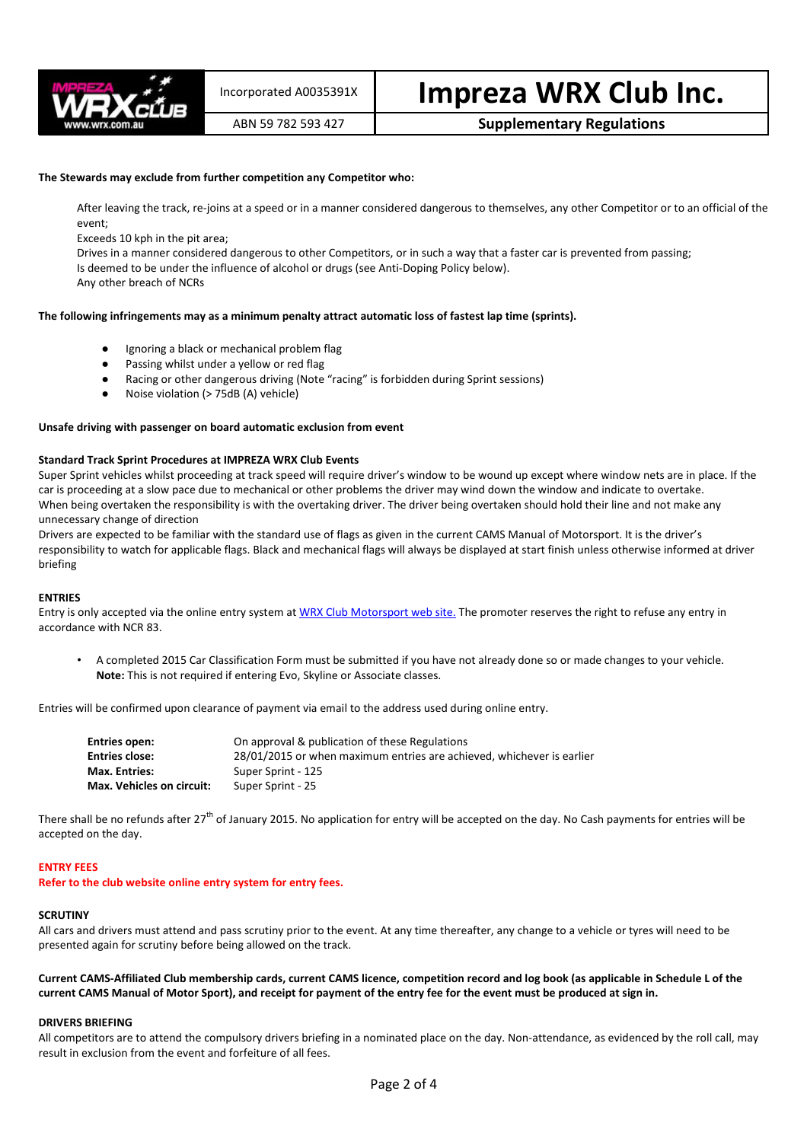

# Incorporated A0035391X | Impreza WRX Club Inc.

# ABN 59 782 593 427 **Supplementary Regulations**

# The Stewards may exclude from further competition any Competitor who:

After leaving the track, re-joins at a speed or in a manner considered dangerous to themselves, any other Competitor or to an official of the event;

Exceeds 10 kph in the pit area;

Drives in a manner considered dangerous to other Competitors, or in such a way that a faster car is prevented from passing; Is deemed to be under the influence of alcohol or drugs (see Anti-Doping Policy below).

Any other breach of NCRs

# The following infringements may as a minimum penalty attract automatic loss of fastest lap time (sprints).

- Ignoring a black or mechanical problem flag
- Passing whilst under a yellow or red flag
- Racing or other dangerous driving (Note "racing" is forbidden during Sprint sessions)
- Noise violation (> 75dB (A) vehicle)

#### Unsafe driving with passenger on board automatic exclusion from event

#### Standard Track Sprint Procedures at IMPREZA WRX Club Events

Super Sprint vehicles whilst proceeding at track speed will require driver's window to be wound up except where window nets are in place. If the car is proceeding at a slow pace due to mechanical or other problems the driver may wind down the window and indicate to overtake. When being overtaken the responsibility is with the overtaking driver. The driver being overtaken should hold their line and not make any unnecessary change of direction

Drivers are expected to be familiar with the standard use of flags as given in the current CAMS Manual of Motorsport. It is the driver's responsibility to watch for applicable flags. Black and mechanical flags will always be displayed at start finish unless otherwise informed at driver briefing

#### ENTRIES

Entry is only accepted via the online entry system at WRX Club Motorsport web site. The promoter reserves the right to refuse any entry in accordance with NCR 83.

• A completed 2015 Car Classification Form must be submitted if you have not already done so or made changes to your vehicle. Note: This is not required if entering Evo, Skyline or Associate classes.

Entries will be confirmed upon clearance of payment via email to the address used during online entry.

| <b>Entries open:</b>             | On approval & publication of these Regulations                        |
|----------------------------------|-----------------------------------------------------------------------|
| <b>Entries close:</b>            | 28/01/2015 or when maximum entries are achieved, whichever is earlier |
| <b>Max. Entries:</b>             | Super Sprint - 125                                                    |
| <b>Max. Vehicles on circuit:</b> | Super Sprint - 25                                                     |

There shall be no refunds after 27<sup>th</sup> of January 2015. No application for entry will be accepted on the day. No Cash payments for entries will be accepted on the day.

#### ENTRY FEES

Refer to the club website online entry system for entry fees.

#### **SCRUTINY**

All cars and drivers must attend and pass scrutiny prior to the event. At any time thereafter, any change to a vehicle or tyres will need to be presented again for scrutiny before being allowed on the track.

Current CAMS-Affiliated Club membership cards, current CAMS licence, competition record and log book (as applicable in Schedule L of the current CAMS Manual of Motor Sport), and receipt for payment of the entry fee for the event must be produced at sign in.

#### DRIVERS BRIEFING

All competitors are to attend the compulsory drivers briefing in a nominated place on the day. Non-attendance, as evidenced by the roll call, may result in exclusion from the event and forfeiture of all fees.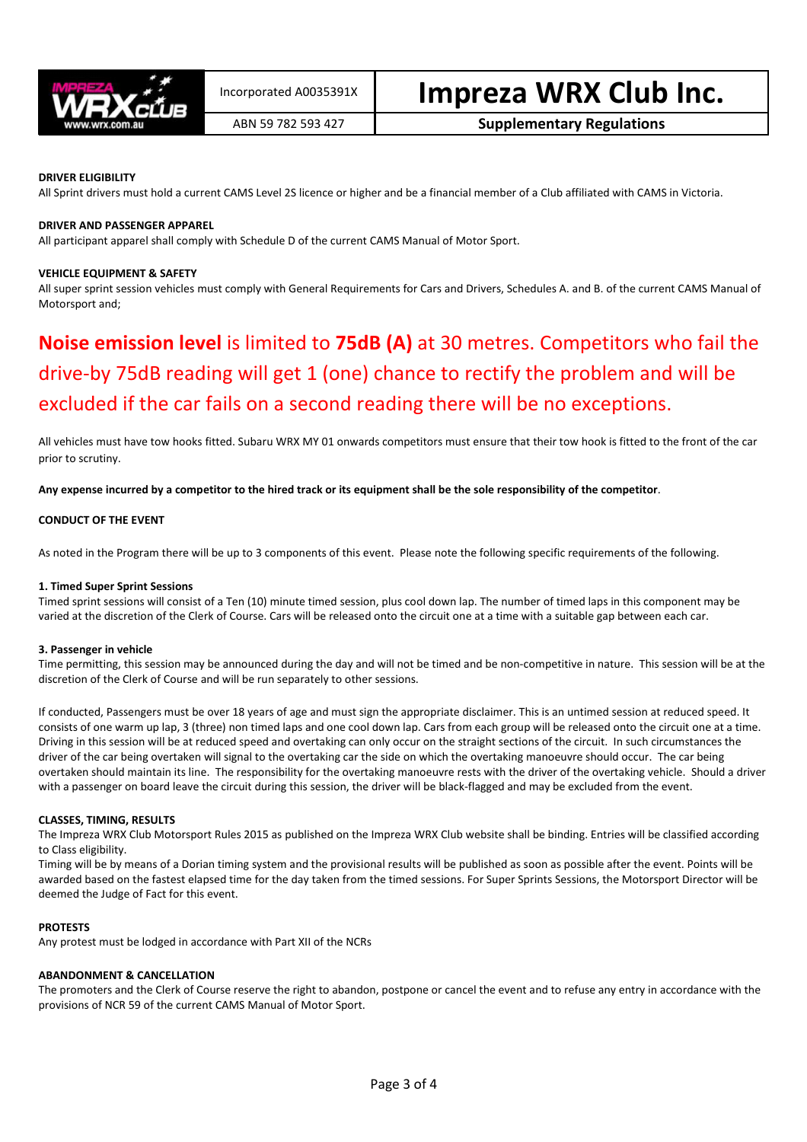

# DRIVER ELIGIBILITY

All Sprint drivers must hold a current CAMS Level 2S licence or higher and be a financial member of a Club affiliated with CAMS in Victoria.

# DRIVER AND PASSENGER APPAREL

All participant apparel shall comply with Schedule D of the current CAMS Manual of Motor Sport.

#### VEHICLE EQUIPMENT & SAFETY

All super sprint session vehicles must comply with General Requirements for Cars and Drivers, Schedules A. and B. of the current CAMS Manual of Motorsport and;

# Noise emission level is limited to 75dB (A) at 30 metres. Competitors who fail the drive-by 75dB reading will get 1 (one) chance to rectify the problem and will be excluded if the car fails on a second reading there will be no exceptions.

All vehicles must have tow hooks fitted. Subaru WRX MY 01 onwards competitors must ensure that their tow hook is fitted to the front of the car prior to scrutiny.

Any expense incurred by a competitor to the hired track or its equipment shall be the sole responsibility of the competitor.

#### CONDUCT OF THE EVENT

As noted in the Program there will be up to 3 components of this event. Please note the following specific requirements of the following.

#### 1. Timed Super Sprint Sessions

Timed sprint sessions will consist of a Ten (10) minute timed session, plus cool down lap. The number of timed laps in this component may be varied at the discretion of the Clerk of Course. Cars will be released onto the circuit one at a time with a suitable gap between each car.

#### 3. Passenger in vehicle

Time permitting, this session may be announced during the day and will not be timed and be non-competitive in nature. This session will be at the discretion of the Clerk of Course and will be run separately to other sessions.

If conducted, Passengers must be over 18 years of age and must sign the appropriate disclaimer. This is an untimed session at reduced speed. It consists of one warm up lap, 3 (three) non timed laps and one cool down lap. Cars from each group will be released onto the circuit one at a time. Driving in this session will be at reduced speed and overtaking can only occur on the straight sections of the circuit. In such circumstances the driver of the car being overtaken will signal to the overtaking car the side on which the overtaking manoeuvre should occur. The car being overtaken should maintain its line. The responsibility for the overtaking manoeuvre rests with the driver of the overtaking vehicle. Should a driver with a passenger on board leave the circuit during this session, the driver will be black-flagged and may be excluded from the event.

# CLASSES, TIMING, RESULTS

The Impreza WRX Club Motorsport Rules 2015 as published on the Impreza WRX Club website shall be binding. Entries will be classified according to Class eligibility.

Timing will be by means of a Dorian timing system and the provisional results will be published as soon as possible after the event. Points will be awarded based on the fastest elapsed time for the day taken from the timed sessions. For Super Sprints Sessions, the Motorsport Director will be deemed the Judge of Fact for this event.

# PROTESTS

Any protest must be lodged in accordance with Part XII of the NCRs

# ABANDONMENT & CANCELLATION

The promoters and the Clerk of Course reserve the right to abandon, postpone or cancel the event and to refuse any entry in accordance with the provisions of NCR 59 of the current CAMS Manual of Motor Sport.